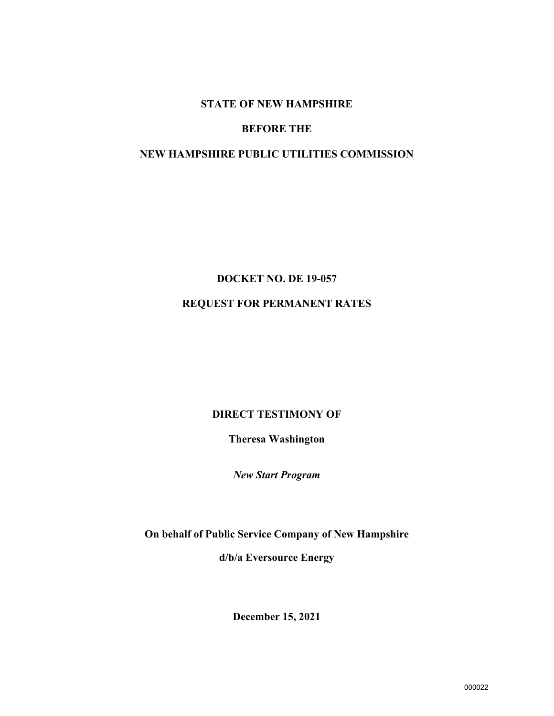#### **STATE OF NEW HAMPSHIRE**

#### **BEFORE THE**

#### **NEW HAMPSHIRE PUBLIC UTILITIES COMMISSION**

# **DOCKET NO. DE 19-057 REQUEST FOR PERMANENT RATES**

#### **DIRECT TESTIMONY OF**

**Theresa Washington** 

*New Start Program* 

**On behalf of Public Service Company of New Hampshire** 

**d/b/a Eversource Energy**

**December 15, 2021**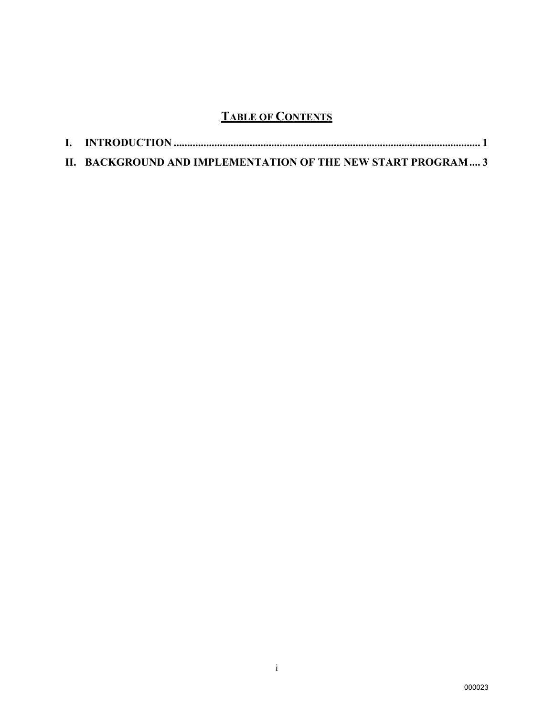## **TABLE OF CONTENTS**

| II. BACKGROUND AND IMPLEMENTATION OF THE NEW START PROGRAM 3 |  |
|--------------------------------------------------------------|--|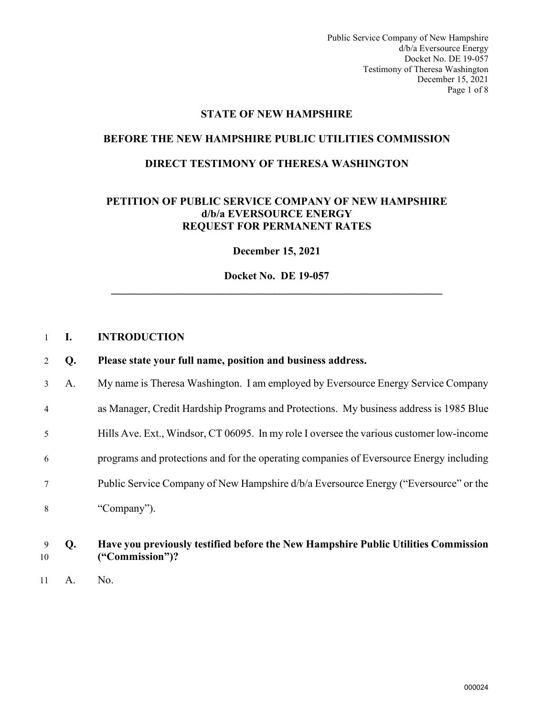Public Service Company of New Hampshire d/b/a Eversource Energy Docket No. DE 19-057 Testimony of Theresa Washington December 15, 2021 Page 1 of 8

#### **STATE OF NEW HAMPSHIRE**

#### **BEFORE THE NEW HAMPSHIRE PUBLIC UTILITIES COMMISSION**

#### **DIRECT TESTIMONY OF THERESA WASHINGTON**

#### **PETITION OF PUBLIC SERVICE COMPANY OF NEW HAMPSHIRE d/b/a EVERSOURCE ENERGY REQUEST FOR PERMANENT RATES**

**December 15, 2021** 

**Docket No. DE 19-057 \_\_\_\_\_\_\_\_\_\_\_\_\_\_\_\_\_\_\_\_\_\_\_\_\_\_\_\_\_\_\_\_\_\_\_\_\_\_\_\_\_\_\_\_\_\_\_\_\_\_\_\_\_\_\_\_\_\_\_\_\_** 

#### <span id="page-2-0"></span>1 **I. INTRODUCTION**

| 2              | Q. | Please state your full name, position and business address.                              |
|----------------|----|------------------------------------------------------------------------------------------|
| 3 <sup>1</sup> | A. | My name is Theresa Washington. I am employed by Eversource Energy Service Company        |
| $\overline{4}$ |    | as Manager, Credit Hardship Programs and Protections. My business address is 1985 Blue   |
| 5              |    | Hills Ave. Ext., Windsor, CT 06095. In my role I oversee the various customer low-income |
| 6              |    | programs and protections and for the operating companies of Eversource Energy including  |
| 7              |    | Public Service Company of New Hampshire d/b/a Eversource Energy ("Eversource" or the     |
| 8              |    | "Company").                                                                              |
| 9              | Q. | Have you previously testified before the New Hampshire Public Utilities Commission       |

- 10 **("Commission")?**
- 11 A. No.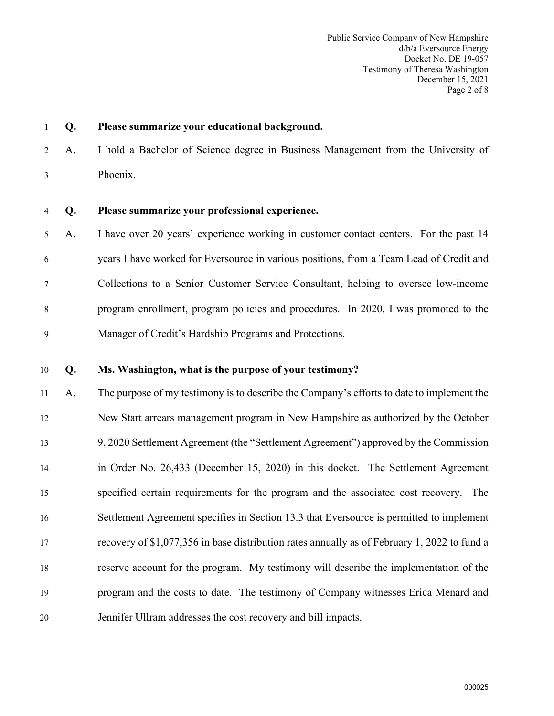1 **Q. Please summarize your educational background.** 

2 A. I hold a Bachelor of Science degree in Business Management from the University of 3 Phoenix.

4 **Q. Please summarize your professional experience.** 

5 A. I have over 20 years' experience working in customer contact centers. For the past 14 6 years I have worked for Eversource in various positions, from a Team Lead of Credit and 7 Collections to a Senior Customer Service Consultant, helping to oversee low-income 8 program enrollment, program policies and procedures. In 2020, I was promoted to the 9 Manager of Credit's Hardship Programs and Protections.

#### 10 **Q. Ms. Washington, what is the purpose of your testimony?**

 A. The purpose of my testimony is to describe the Company's efforts to date to implement the New Start arrears management program in New Hampshire as authorized by the October 9, 2020 Settlement Agreement (the "Settlement Agreement") approved by the Commission in Order No. 26,433 (December 15, 2020) in this docket. The Settlement Agreement specified certain requirements for the program and the associated cost recovery. The Settlement Agreement specifies in Section 13.3 that Eversource is permitted to implement recovery of \$1,077,356 in base distribution rates annually as of February 1, 2022 to fund a reserve account for the program. My testimony will describe the implementation of the program and the costs to date. The testimony of Company witnesses Erica Menard and Jennifer Ullram addresses the cost recovery and bill impacts.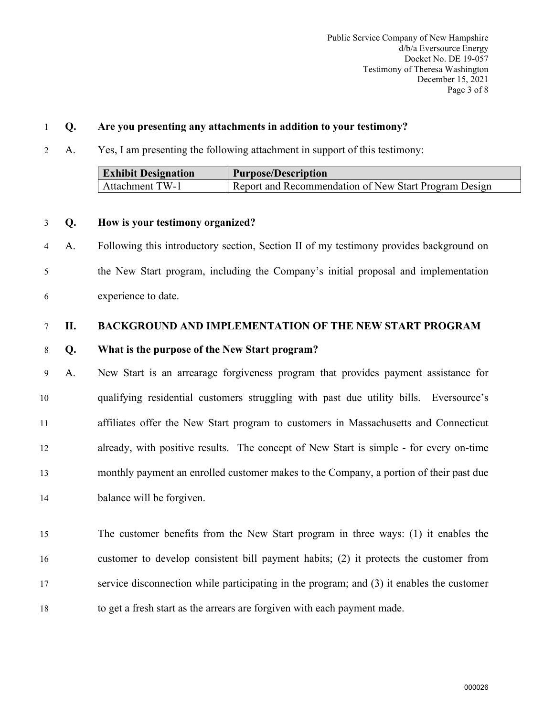#### 1 **Q. Are you presenting any attachments in addition to your testimony?**

2 A. Yes, I am presenting the following attachment in support of this testimony:

| <b>Exhibit Designation</b> | <b>Purpose/Description</b>                            |
|----------------------------|-------------------------------------------------------|
| Attachment TW-1            | Report and Recommendation of New Start Program Design |

#### 3 **Q. How is your testimony organized?**

4 A. Following this introductory section, Section II of my testimony provides background on 5 the New Start program, including the Company's initial proposal and implementation 6 experience to date.

#### <span id="page-4-0"></span>7 **II. BACKGROUND AND IMPLEMENTATION OF THE NEW START PROGRAM**

#### 8 **Q. What is the purpose of the New Start program?**

9 A. New Start is an arrearage forgiveness program that provides payment assistance for qualifying residential customers struggling with past due utility bills. Eversource's affiliates offer the New Start program to customers in Massachusetts and Connecticut already, with positive results. The concept of New Start is simple - for every on-time monthly payment an enrolled customer makes to the Company, a portion of their past due balance will be forgiven.

 The customer benefits from the New Start program in three ways: (1) it enables the customer to develop consistent bill payment habits; (2) it protects the customer from service disconnection while participating in the program; and (3) it enables the customer to get a fresh start as the arrears are forgiven with each payment made.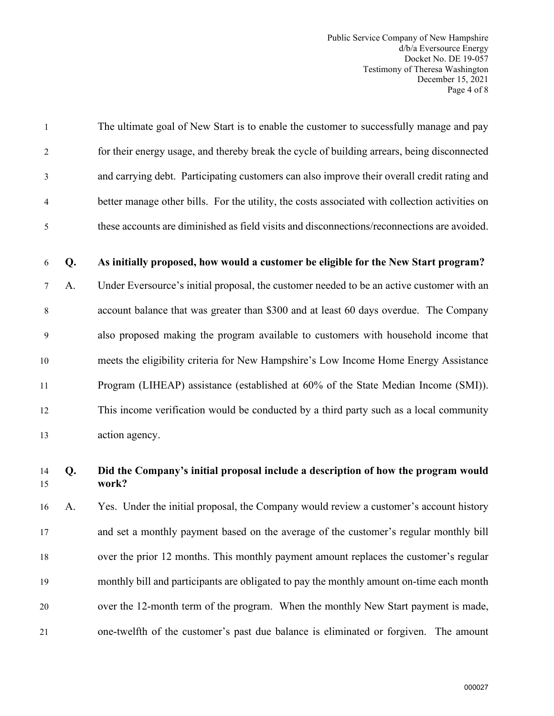Public Service Company of New Hampshire d/b/a Eversource Energy Docket No. DE 19-057 Testimony of Theresa Washington December 15, 2021 Page 4 of 8

1 The ultimate goal of New Start is to enable the customer to successfully manage and pay 2 for their energy usage, and thereby break the cycle of building arrears, being disconnected 3 and carrying debt. Participating customers can also improve their overall credit rating and 4 better manage other bills. For the utility, the costs associated with collection activities on 5 these accounts are diminished as field visits and disconnections/reconnections are avoided.

#### 6 **Q. As initially proposed, how would a customer be eligible for the New Start program?**

7 A. Under Eversource's initial proposal, the customer needed to be an active customer with an 8 account balance that was greater than \$300 and at least 60 days overdue. The Company 9 also proposed making the program available to customers with household income that 10 meets the eligibility criteria for New Hampshire's Low Income Home Energy Assistance 11 Program (LIHEAP) assistance (established at 60% of the State Median Income (SMI)). 12 This income verification would be conducted by a third party such as a local community 13 action agency.

#### 14 **Q. Did the Company's initial proposal include a description of how the program would**  15 **work?**

 A. Yes. Under the initial proposal, the Company would review a customer's account history and set a monthly payment based on the average of the customer's regular monthly bill over the prior 12 months. This monthly payment amount replaces the customer's regular monthly bill and participants are obligated to pay the monthly amount on-time each month over the 12-month term of the program. When the monthly New Start payment is made, one-twelfth of the customer's past due balance is eliminated or forgiven. The amount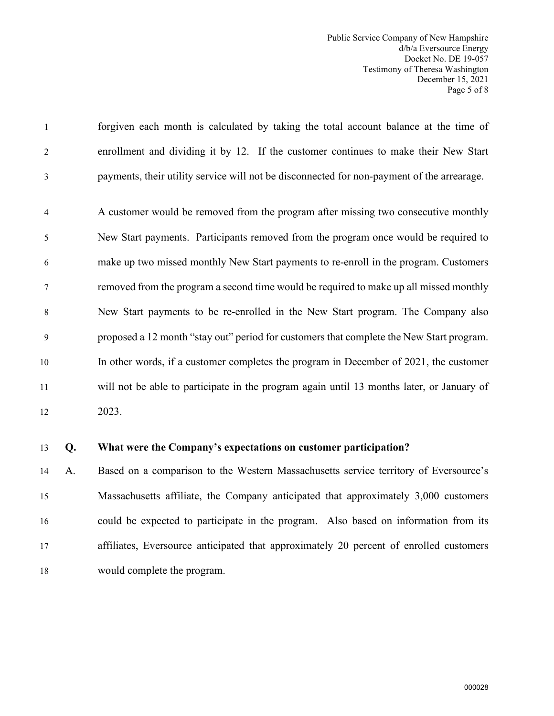Public Service Company of New Hampshire d/b/a Eversource Energy Docket No. DE 19-057 Testimony of Theresa Washington December 15, 2021 Page 5 of 8

1 forgiven each month is calculated by taking the total account balance at the time of 2 enrollment and dividing it by 12. If the customer continues to make their New Start 3 payments, their utility service will not be disconnected for non-payment of the arrearage.

4 A customer would be removed from the program after missing two consecutive monthly 5 New Start payments. Participants removed from the program once would be required to 6 make up two missed monthly New Start payments to re-enroll in the program. Customers 7 removed from the program a second time would be required to make up all missed monthly 8 New Start payments to be re-enrolled in the New Start program. The Company also 9 proposed a 12 month "stay out" period for customers that complete the New Start program. 10 In other words, if a customer completes the program in December of 2021, the customer 11 will not be able to participate in the program again until 13 months later, or January of 12 2023.

#### 13 **Q. What were the Company's expectations on customer participation?**

 A. Based on a comparison to the Western Massachusetts service territory of Eversource's Massachusetts affiliate, the Company anticipated that approximately 3,000 customers could be expected to participate in the program. Also based on information from its affiliates, Eversource anticipated that approximately 20 percent of enrolled customers would complete the program.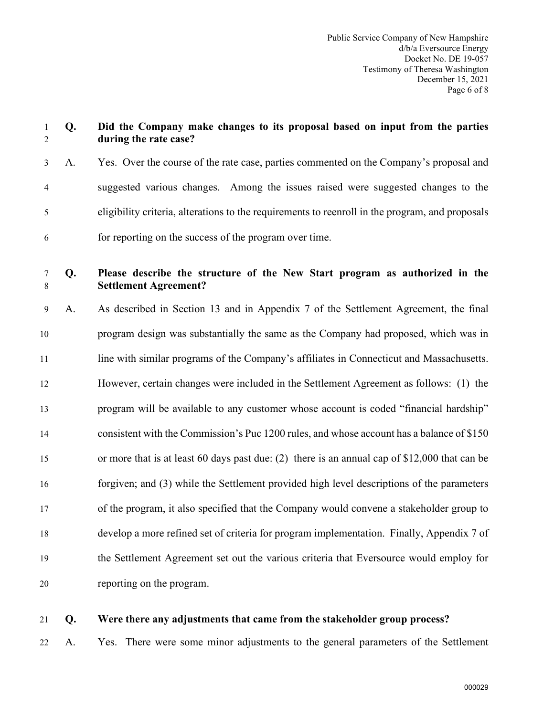|    | during the rate case?                                                                                       |
|----|-------------------------------------------------------------------------------------------------------------|
| A. | Yes. Over the course of the rate case, parties commented on the Company's proposal and                      |
|    | suggested various changes. Among the issues raised were suggested changes to the                            |
|    | eligibility criteria, alterations to the requirements to reenroll in the program, and proposals             |
|    | for reporting on the success of the program over time.                                                      |
| Q. | Please describe the structure of the New Start program as authorized in the<br><b>Settlement Agreement?</b> |
| A. | As described in Section 13 and in Appendix 7 of the Settlement Agreement, the final                         |
|    | program design was substantially the same as the Company had proposed, which was in                         |
|    | line with similar programs of the Company's affiliates in Connecticut and Massachusetts.                    |
|    | However, certain changes were included in the Settlement Agreement as follows: (1) the                      |
|    | program will be available to any customer whose account is coded "financial hardship"                       |
|    | consistent with the Commission's Puc 1200 rules, and whose account has a balance of \$150                   |
|    | or more that is at least 60 days past due: (2) there is an annual cap of $$12,000$ that can be              |
|    | forgiven; and (3) while the Settlement provided high level descriptions of the parameters                   |
|    | of the program, it also specified that the Company would convene a stakeholder group to                     |
|    | develop a more refined set of criteria for program implementation. Finally, Appendix 7 of                   |
|    | the Settlement Agreement set out the various criteria that Eversource would employ for                      |
|    | reporting on the program.                                                                                   |
|    |                                                                                                             |

### 21 **Q. Were there any adjustments that came from the stakeholder group process?**

22 A. Yes. There were some minor adjustments to the general parameters of the Settlement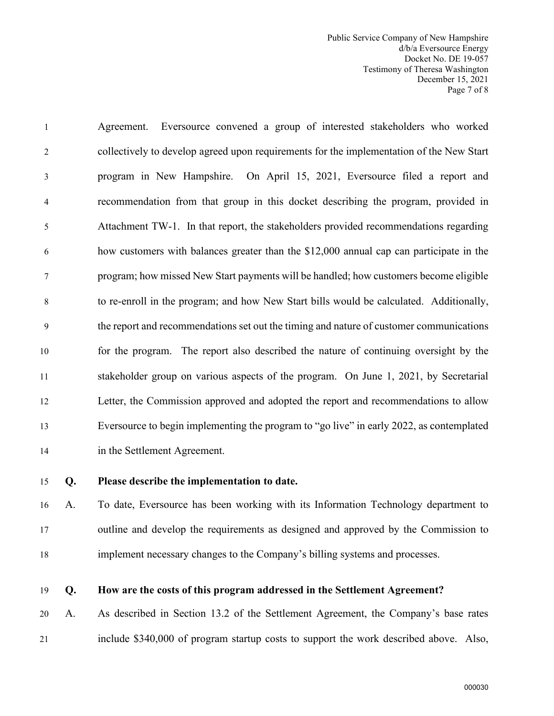Public Service Company of New Hampshire d/b/a Eversource Energy Docket No. DE 19-057 Testimony of Theresa Washington December 15, 2021 Page 7 of 8

1 Agreement. Eversource convened a group of interested stakeholders who worked 2 collectively to develop agreed upon requirements for the implementation of the New Start 3 program in New Hampshire. On April 15, 2021, Eversource filed a report and 4 recommendation from that group in this docket describing the program, provided in 5 Attachment TW-1. In that report, the stakeholders provided recommendations regarding 6 how customers with balances greater than the \$12,000 annual cap can participate in the 7 program; how missed New Start payments will be handled; how customers become eligible 8 to re-enroll in the program; and how New Start bills would be calculated. Additionally, 9 the report and recommendations set out the timing and nature of customer communications 10 for the program. The report also described the nature of continuing oversight by the 11 stakeholder group on various aspects of the program. On June 1, 2021, by Secretarial 12 Letter, the Commission approved and adopted the report and recommendations to allow 13 Eversource to begin implementing the program to "go live" in early 2022, as contemplated 14 in the Settlement Agreement.

#### 15 **Q. Please describe the implementation to date.**

16 A. To date, Eversource has been working with its Information Technology department to 17 outline and develop the requirements as designed and approved by the Commission to 18 implement necessary changes to the Company's billing systems and processes.

#### 19 **Q. How are the costs of this program addressed in the Settlement Agreement?**

20 A. As described in Section 13.2 of the Settlement Agreement, the Company's base rates 21 include \$340,000 of program startup costs to support the work described above. Also,